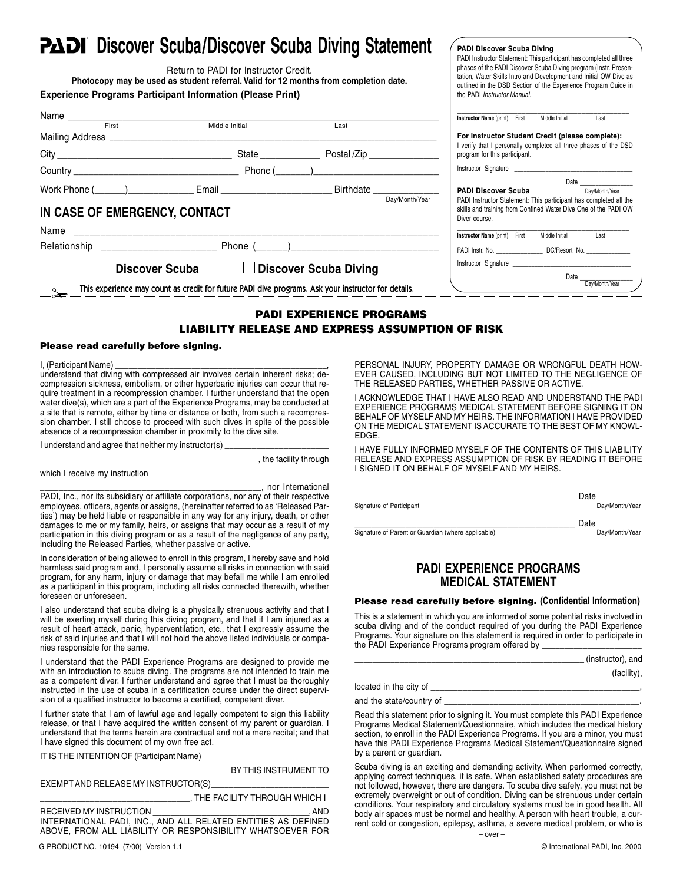## **COISCOVER SCUBA/Discover Scuba Diving Statement**

| <b>PADI</b> DISCOVER SCUDA/DISCOVER SCUDA DIVING STATEMENT<br>Return to PADI for Instructor Credit.<br>Photocopy may be used as student referral. Valid for 12 months from completion date.<br><b>Experience Programs Participant Information (Please Print)</b> | <b>PADI Discover Scuba Diving</b><br>PADI Instructor Statement: This participant has completed all three<br>phases of the PADI Discover Scuba Diving program (Instr. Presen-<br>tation, Water Skills Intro and Development and Initial OW Dive as<br>outlined in the DSD Section of the Experience Program Guide in<br>the PADI Instructor Manual. |
|------------------------------------------------------------------------------------------------------------------------------------------------------------------------------------------------------------------------------------------------------------------|----------------------------------------------------------------------------------------------------------------------------------------------------------------------------------------------------------------------------------------------------------------------------------------------------------------------------------------------------|
|                                                                                                                                                                                                                                                                  | Instructor Name (print) First<br>Middle Initial<br>Last                                                                                                                                                                                                                                                                                            |
| Last                                                                                                                                                                                                                                                             |                                                                                                                                                                                                                                                                                                                                                    |
|                                                                                                                                                                                                                                                                  | For Instructor Student Credit (please complete):<br>I verify that I personally completed all three phases of the DSD                                                                                                                                                                                                                               |
|                                                                                                                                                                                                                                                                  | program for this participant.                                                                                                                                                                                                                                                                                                                      |
|                                                                                                                                                                                                                                                                  |                                                                                                                                                                                                                                                                                                                                                    |
| Work Phone (_____)____________________Email ________________________________Birthdate ______________                                                                                                                                                             | Date and the state of the state of the state of the state of the state of the state of the state of the state of the state of the state of the state of the state of the state of the state of the state of the state of the s<br><b>PADI Discover Scuba</b><br>Day/Month/Year                                                                     |
| Day/Month/Year<br>IN CASE OF EMERGENCY, CONTACT                                                                                                                                                                                                                  | PADI Instructor Statement: This participant has completed all the<br>skills and training from Confined Water Dive One of the PADI OW<br>Diver course.                                                                                                                                                                                              |
|                                                                                                                                                                                                                                                                  | Last<br>Instructor Name (print) First<br>Middle Initial                                                                                                                                                                                                                                                                                            |
|                                                                                                                                                                                                                                                                  | PADI Instr. No. ________________________ DC/Resort No. _________________________                                                                                                                                                                                                                                                                   |
| <b>Discover Scuba</b><br><b>Discover Scuba Diving</b><br>$\perp$                                                                                                                                                                                                 |                                                                                                                                                                                                                                                                                                                                                    |
| This experience may count as credit for future PADI dive programs. Ask your instructor for details.                                                                                                                                                              |                                                                                                                                                                                                                                                                                                                                                    |

#### **PADI EXPERIENCE PROGRAMS LIABILITY RELEASE AND EXPRESS ASSUMPTION OF RISK**

#### **Please read carefully before signing.**

I, (Participant Name)

understand that diving with compressed air involves certain inherent risks; decompression sickness, embolism, or other hyperbaric injuries can occur that require treatment in a recompression chamber. I further understand that the open water dive(s), which are a part of the Experience Programs, may be conducted at a site that is remote, either by time or distance or both, from such a recompression chamber. I still choose to proceed with such dives in spite of the possible absence of a recompression chamber in proximity to the dive site.

I understand and agree that neither my instructor(s) \_

\_\_\_\_\_\_\_\_\_\_\_\_\_\_\_\_\_\_\_\_\_\_\_\_\_\_\_\_\_\_\_\_\_\_\_\_\_\_\_\_\_\_\_\_\_\_\_\_, the facility through

which I receive my instruction\_

\_\_\_\_\_\_\_\_\_\_\_\_\_\_\_\_\_\_\_\_\_\_\_\_\_\_\_\_\_\_\_\_\_\_\_\_\_\_\_\_\_\_\_\_\_\_\_\_, nor International

PADI, Inc., nor its subsidiary or affiliate corporations, nor any of their respective employees, officers, agents or assigns, (hereinafter referred to as 'Released Parties') may be held liable or responsible in any way for any injury, death, or other damages to me or my family, heirs, or assigns that may occur as a result of my participation in this diving program or as a result of the negligence of any party, including the Released Parties, whether passive or active.

In consideration of being allowed to enroll in this program, I hereby save and hold harmless said program and, I personally assume all risks in connection with said program, for any harm, injury or damage that may befall me while I am enrolled as a participant in this program, including all risks connected therewith, whether foreseen or unforeseen.

I also understand that scuba diving is a physically strenuous activity and that I will be exerting myself during this diving program, and that if I am injured as a result of heart attack, panic, hyperventilation, etc., that I expressly assume the risk of said injuries and that I will not hold the above listed individuals or companies responsible for the same.

I understand that the PADI Experience Programs are designed to provide me with an introduction to scuba diving. The programs are not intended to train me as a competent diver. I further understand and agree that I must be thoroughly instructed in the use of scuba in a certification course under the direct supervision of a qualified instructor to become a certified, competent diver.

I further state that I am of lawful age and legally competent to sign this liability release, or that I have acquired the written consent of my parent or guardian. I understand that the terms herein are contractual and not a mere recital; and that I have signed this document of my own free act.

IT IS THE INTENTION OF (Participant Name) \_

\_\_\_\_\_\_\_\_\_\_\_\_\_\_\_\_\_\_\_\_\_\_\_\_\_\_\_\_\_\_\_\_\_\_\_\_\_\_\_\_\_\_ BY THIS INSTRUMENT TO

| EXEMPT AND RELEASE MY INSTRUCTOR(S) |                                                                      |  |  |  |
|-------------------------------------|----------------------------------------------------------------------|--|--|--|
|                                     | . THE FACILITY THROUGH WHICH I                                       |  |  |  |
| RECEIVED MY INSTRUCTION             | . AND<br>the control of the control of the control of the control of |  |  |  |
|                                     | INTERNATIONAL PADI, INC., AND ALL RELATED ENTITIES AS DEFINED        |  |  |  |
|                                     | ABOVE, FROM ALL LIABILITY OR RESPONSIBILITY WHATSOEVER FOR           |  |  |  |

G PRODUCT NO. 10194 (7/00) Version 1.1 © International PADI, Inc. 2000

PERSONAL INJURY, PROPERTY DAMAGE OR WRONGFUL DEATH HOW-EVER CAUSED, INCLUDING BUT NOT LIMITED TO THE NEGLIGENCE OF THE RELEASED PARTIES, WHETHER PASSIVE OR ACTIVE.

I ACKNOWLEDGE THAT I HAVE ALSO READ AND UNDERSTAND THE PADI EXPERIENCE PROGRAMS MEDICAL STATEMENT BEFORE SIGNING IT ON BEHALF OF MYSELF AND MY HEIRS. THE INFORMATION I HAVE PROVIDED ON THE MEDICAL STATEMENT IS ACCURATE TO THE BEST OF MY KNOWL-EDGE.

I HAVE FULLY INFORMED MYSELF OF THE CONTENTS OF THIS LIABILITY RELEASE AND EXPRESS ASSUMPTION OF RISK BY READING IT BEFORE I SIGNED IT ON BEHALF OF MYSELF AND MY HEIRS.

|                          | Date           |
|--------------------------|----------------|
| Signature of Participant | Day/Month/Year |
|                          |                |

\_\_\_\_\_\_\_\_\_\_\_\_\_\_\_\_\_\_\_\_\_\_\_\_\_\_\_\_\_\_\_\_\_\_\_\_\_\_\_ Date\_\_\_\_\_\_\_\_\_\_ Signature of Parent or Guardian (where applicable) Day/Month/Year

#### **PADI EXPERIENCE PROGRAMS MEDICAL STATEMENT**

#### **Please read carefully before signing. (Confidential Information)**

This is a statement in which you are informed of some potential risks involved in scuba diving and of the conduct required of you during the PADI Experience Programs. Your signature on this statement is required in order to participate in the PADI Experience Programs program offered by

|                                                                                 | (instructor), and |
|---------------------------------------------------------------------------------|-------------------|
|                                                                                 | (facility),       |
| located in the city of                                                          |                   |
| and the state/country of                                                        |                   |
| Read this statement prior to signing it. You must complete this PADI Experience |                   |

Programs Medical Statement/Questionnaire, which includes the medical history section, to enroll in the PADI Experience Programs. If you are a minor, you must have this PADI Experience Programs Medical Statement/Questionnaire signed by a parent or guardian.

Scuba diving is an exciting and demanding activity. When performed correctly, applying correct techniques, it is safe. When established safety procedures are not followed, however, there are dangers. To scuba dive safely, you must not be extremely overweight or out of condition. Diving can be strenuous under certain conditions. Your respiratory and circulatory systems must be in good health. All body air spaces must be normal and healthy. A person with heart trouble, a current cold or congestion, epilepsy, asthma, a severe medical problem, or who is